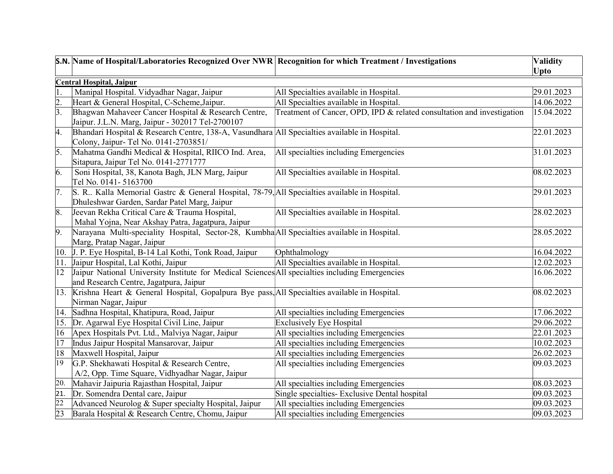|                  | S.N. Name of Hospital/Laboratories Recognized Over NWR Recognition for which Treatment / Investigations |                                                                        | <b>Validity</b>         |
|------------------|---------------------------------------------------------------------------------------------------------|------------------------------------------------------------------------|-------------------------|
|                  |                                                                                                         |                                                                        | <b>Upto</b>             |
|                  | <b>Central Hospital, Jaipur</b>                                                                         |                                                                        |                         |
|                  | Manipal Hospital. Vidyadhar Nagar, Jaipur                                                               | All Specialties available in Hospital.                                 | 29.01.2023              |
| $\overline{2}$   | Heart & General Hospital, C-Scheme, Jaipur.                                                             | All Specialties available in Hospital.                                 | 14.06.2022              |
| $\overline{3}$ . | Bhagwan Mahaveer Cancer Hospital & Research Centre,                                                     | Treatment of Cancer, OPD, IPD & related consultation and investigation | 15.04.2022              |
|                  | Jaipur. J.L.N. Marg, Jaipur - 302017 Tel-2700107                                                        |                                                                        |                         |
| 4.               | Bhandari Hospital & Research Centre, 138-A, Vasundhara All Specialties available in Hospital.           |                                                                        | 22.01.2023              |
|                  | Colony, Jaipur- Tel No. 0141-2703851/                                                                   |                                                                        |                         |
| 5.               | Mahatma Gandhi Medical & Hospital, RIICO Ind. Area,                                                     | All specialties including Emergencies                                  | 31.01.2023              |
|                  | Sitapura, Jaipur Tel No. 0141-2771777                                                                   |                                                                        |                         |
| 6.               | Soni Hospital, 38, Kanota Bagh, JLN Marg, Jaipur                                                        | All Specialties available in Hospital.                                 | 08.02.2023              |
|                  | Tel No. 0141-5163700                                                                                    |                                                                        |                         |
| $\overline{7}$ . | S. R Kalla Memorial Gastrc & General Hospital, 78-79, All Specialties available in Hospital.            |                                                                        | 29.01.2023              |
|                  | Dhuleshwar Garden, Sardar Patel Marg, Jaipur                                                            |                                                                        |                         |
| 8.               | Jeevan Rekha Critical Care & Trauma Hospital,                                                           | All Specialties available in Hospital.                                 | 28.02.2023              |
|                  | Mahal Yojna, Near Akshay Patra, Jagatpura, Jaipur                                                       |                                                                        |                         |
| $\vert 9.$       | Narayana Multi-speciality Hospital, Sector-28, Kumbha All Specialties available in Hospital.            |                                                                        | 28.05.2022              |
|                  | Marg, Pratap Nagar, Jaipur                                                                              |                                                                        |                         |
|                  | 10. J. P. Eye Hospital, B-14 Lal Kothi, Tonk Road, Jaipur                                               | Ophthalmology                                                          | 16.04.2022              |
| $ 11\rangle$     | Jaipur Hospital, Lal Kothi, Jaipur                                                                      | All Specialties available in Hospital.                                 | 12.02.2023              |
| $ 12\rangle$     | Jaipur National University Institute for Medical Sciences All specialties including Emergencies         |                                                                        | 16.06.2022              |
|                  | and Research Centre, Jagatpura, Jaipur                                                                  |                                                                        |                         |
|                  | 13. Krishna Heart & General Hospital, Gopalpura Bye pass, All Specialties available in Hospital.        |                                                                        | 08.02.2023              |
|                  | Nirman Nagar, Jaipur                                                                                    |                                                                        |                         |
|                  | 14. Sadhna Hospital, Khatipura, Road, Jaipur                                                            | All specialties including Emergencies                                  | 17.06.2022              |
|                  | 15. Dr. Agarwal Eye Hospital Civil Line, Jaipur                                                         | <b>Exclusively Eye Hospital</b>                                        | 29.06.2022              |
| $ 16\rangle$     | Apex Hospitals Pvt. Ltd., Malviya Nagar, Jaipur                                                         | All specialties including Emergencies                                  | 22.01.2023              |
| 17               | Indus Jaipur Hospital Mansarovar, Jaipur                                                                | All specialties including Emergencies                                  | 10.02.2023              |
| 18               | Maxwell Hospital, Jaipur                                                                                | All specialties including Emergencies                                  | 26.02.2023              |
| 19               | G.P. Shekhawati Hospital & Research Centre,                                                             | All specialties including Emergencies                                  | 09.03.2023              |
|                  | A/2, Opp. Time Square, Vidhyadhar Nagar, Jaipur                                                         |                                                                        |                         |
| 20.              | Mahavir Jaipuria Rajasthan Hospital, Jaipur                                                             | All specialties including Emergencies                                  | 08.03.2023              |
| 21.              | Dr. Somendra Dental care, Jaipur                                                                        | Single specialties- Exclusive Dental hospital                          | $\overline{09.03.2023}$ |
| $\overline{22}$  | Advanced Neurolog & Super specialty Hospital, Jaipur                                                    | All specialties including Emergencies                                  | 09.03.2023              |
| 23               | Barala Hospital & Research Centre, Chomu, Jaipur                                                        | All specialties including Emergencies                                  | 09.03.2023              |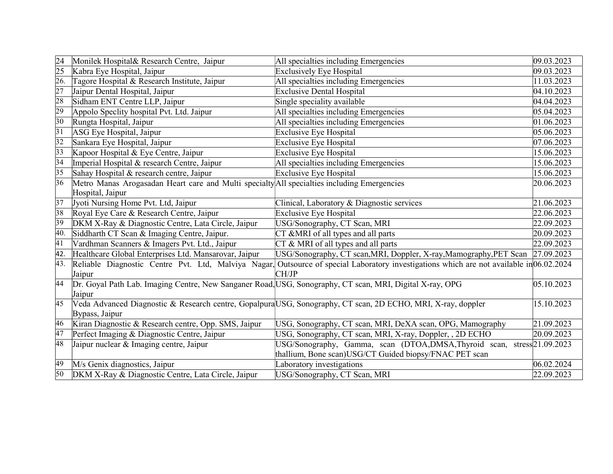| 24              | Monilek Hospital& Research Centre, Jaipur                                                                | All specialties including Emergencies                                                                                                    | 09.03.2023 |
|-----------------|----------------------------------------------------------------------------------------------------------|------------------------------------------------------------------------------------------------------------------------------------------|------------|
| 25              | Kabra Eye Hospital, Jaipur                                                                               | <b>Exclusively Eye Hospital</b>                                                                                                          | 09.03.2023 |
| 26.             | Tagore Hospital & Research Institute, Jaipur                                                             | All specialties including Emergencies                                                                                                    | 11.03.2023 |
| 27              | Jaipur Dental Hospital, Jaipur                                                                           | <b>Exclusive Dental Hospital</b>                                                                                                         | 04.10.2023 |
| 28              | Sidham ENT Centre LLP, Jaipur                                                                            | Single speciality available                                                                                                              | 04.04.2023 |
| 29              | Appolo Speclity hospital Pvt. Ltd. Jaipur                                                                | All specialties including Emergencies                                                                                                    | 05.04.2023 |
| $\overline{30}$ | Rungta Hospital, Jaipur                                                                                  | All specialties including Emergencies                                                                                                    | 01.06.2023 |
| $\overline{31}$ | ASG Eye Hospital, Jaipur                                                                                 | Exclusive Eye Hospital                                                                                                                   | 05.06.2023 |
| $\overline{32}$ | Sankara Eye Hospital, Jaipur                                                                             | <b>Exclusive Eye Hospital</b>                                                                                                            | 07.06.2023 |
| $\overline{33}$ | Kapoor Hospital & Eye Centre, Jaipur                                                                     | <b>Exclusive Eye Hospital</b>                                                                                                            | 15.06.2023 |
| 34              | Imperial Hospital & research Centre, Jaipur                                                              | All specialties including Emergencies                                                                                                    | 15.06.2023 |
| $\overline{35}$ | Sahay Hospital & research centre, Jaipur                                                                 | Exclusive Eye Hospital                                                                                                                   | 15.06.2023 |
| 36              | Metro Manas Arogasadan Heart care and Multi specialty All specialties including Emergencies              |                                                                                                                                          | 20.06.2023 |
|                 | Hospital, Jaipur                                                                                         |                                                                                                                                          |            |
| 37              | Jyoti Nursing Home Pvt. Ltd, Jaipur                                                                      | Clinical, Laboratory & Diagnostic services                                                                                               | 21.06.2023 |
| 38              | Royal Eye Care & Research Centre, Jaipur                                                                 | <b>Exclusive Eye Hospital</b>                                                                                                            | 22.06.2023 |
| 39              | DKM X-Ray & Diagnostic Centre, Lata Circle, Jaipur                                                       | USG/Sonography, CT Scan, MRI                                                                                                             | 22.09.2023 |
| 40.             | Siddharth CT Scan & Imaging Centre, Jaipur.                                                              | $\overline{\text{CT} \& \text{MRI}}$ of all types and all parts                                                                          | 20.09.2023 |
| $\overline{41}$ | Vardhman Scanners & Imagers Pvt. Ltd., Jaipur                                                            | $CT \& MRI$ of all types and all parts                                                                                                   | 22.09.2023 |
| 42.             | Healthcare Global Enterprises Ltd. Mansarovar, Jaipur                                                    | USG/Sonography, CT scan, MRI, Doppler, X-ray, Mamography, PET Scan 27.09.2023                                                            |            |
| 43.             |                                                                                                          | Reliable Diagnostic Centre Pvt. Ltd, Malviya Nagar, Outsource of special Laboratory investigations which are not available in 06.02.2024 |            |
|                 | Jaipur                                                                                                   | CH/JP                                                                                                                                    |            |
| 44              | Dr. Goyal Path Lab. Imaging Centre, New Sanganer Road, USG, Sonography, CT scan, MRI, Digital X-ray, OPG |                                                                                                                                          | 05.10.2023 |
|                 | Jaipur                                                                                                   |                                                                                                                                          |            |
| $\overline{45}$ |                                                                                                          | Veda Advanced Diagnostic & Research centre, Gopalpura USG, Sonography, CT scan, 2D ECHO, MRI, X-ray, doppler                             | 15.10.2023 |
|                 | Bypass, Jaipur                                                                                           |                                                                                                                                          |            |
| 46              | Kiran Diagnostic & Research centre, Opp. SMS, Jaipur                                                     | USG, Sonography, CT scan, MRI, DeXA scan, OPG, Mamography                                                                                | 21.09.2023 |
| $\overline{47}$ | Perfect Imaging & Diagnostic Centre, Jaipur                                                              | USG, Sonography, CT scan, MRI, X-ray, Doppler, , 2D ECHO                                                                                 | 20.09.2023 |
| 48              | Jaipur nuclear & Imaging centre, Jaipur                                                                  | USG/Sonography, Gamma, scan (DTOA,DMSA,Thyroid scan, stress 21.09.2023                                                                   |            |
|                 |                                                                                                          | thallium, Bone scan)USG/CT Guided biopsy/FNAC PET scan                                                                                   |            |
| 49              | M/s Genix diagnostics, Jaipur                                                                            | Laboratory investigations                                                                                                                | 06.02.2024 |
| 50              | DKM X-Ray & Diagnostic Centre, Lata Circle, Jaipur                                                       | USG/Sonography, CT Scan, MRI                                                                                                             | 22.09.2023 |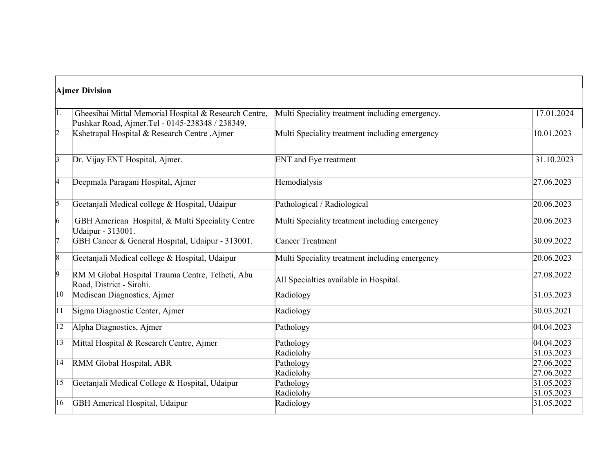| <b>Ajmer Division</b> |                                                                                                          |                                                 |                          |
|-----------------------|----------------------------------------------------------------------------------------------------------|-------------------------------------------------|--------------------------|
| 1.                    | Gheesibai Mittal Memorial Hospital & Research Centre,<br>Pushkar Road, Ajmer.Tel - 0145-238348 / 238349, | Multi Speciality treatment including emergency. | 17.01.2024               |
| $\overline{2}$        | Kshetrapal Hospital & Research Centre, Ajmer                                                             | Multi Speciality treatment including emergency  | 10.01.2023               |
| $\vert$ 3             | Dr. Vijay ENT Hospital, Ajmer.                                                                           | <b>ENT</b> and Eye treatment                    | 31.10.2023               |
| $\overline{4}$        | Deepmala Paragani Hospital, Ajmer                                                                        | Hemodialysis                                    | 27.06.2023               |
| $\overline{5}$        | Geetanjali Medical college & Hospital, Udaipur                                                           | Pathological / Radiological                     | 20.06.2023               |
| $\vert 6 \vert$       | GBH American Hospital, & Multi Speciality Centre<br>Udaipur - 313001.                                    | Multi Speciality treatment including emergency  | 20.06.2023               |
| 17                    | GBH Cancer & General Hospital, Udaipur - 313001.                                                         | <b>Cancer Treatment</b>                         | 30.09.2022               |
| $\vert 8 \vert$       | Geetanjali Medical college & Hospital, Udaipur                                                           | Multi Speciality treatment including emergency  | 20.06.2023               |
| $\overline{9}$        | RM M Global Hospital Trauma Centre, Telheti, Abu<br>Road, District - Sirohi.                             | All Specialties available in Hospital.          | 27.08.2022               |
| 10                    | Mediscan Diagnostics, Ajmer                                                                              | Radiology                                       | 31.03.2023               |
| $ 11\rangle$          | Sigma Diagnostic Center, Ajmer                                                                           | Radiology                                       | 30.03.2021               |
| $ 12\rangle$          | Alpha Diagnostics, Ajmer                                                                                 | Pathology                                       | 04.04.2023               |
| $ 13\rangle$          | Mittal Hospital & Research Centre, Ajmer                                                                 | Pathology<br>Radiolohy                          | 04.04.2023<br>31.03.2023 |
| $ 14\rangle$          | RMM Global Hospital, ABR                                                                                 | Pathology<br>Radiolohy                          | 27.06.2022<br>27.06.2022 |
| $ 15\rangle$          | Geetanjali Medical College & Hospital, Udaipur                                                           | Pathology<br>Radiolohy                          | 31.05.2023<br>31.05.2023 |
| 16                    | GBH Americal Hospital, Udaipur                                                                           | Radiology                                       | 31.05.2022               |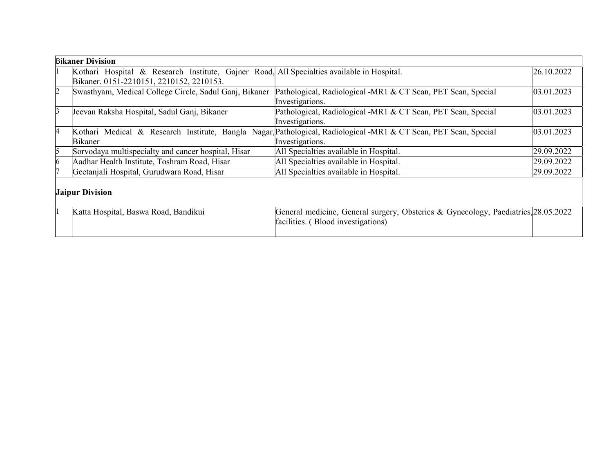| <b>Bikaner Division</b> |                                                                                            |                                                                                                                  |            |
|-------------------------|--------------------------------------------------------------------------------------------|------------------------------------------------------------------------------------------------------------------|------------|
|                         | Kothari Hospital & Research Institute, Gajner Road, All Specialties available in Hospital. |                                                                                                                  | 26.10.2022 |
|                         | Bikaner. 0151-2210151, 2210152, 2210153.                                                   |                                                                                                                  |            |
| $\overline{2}$          | Swasthyam, Medical College Circle, Sadul Ganj, Bikaner                                     | Pathological, Radiological -MR1 & CT Scan, PET Scan, Special                                                     | 03.01.2023 |
|                         |                                                                                            | Investigations.                                                                                                  |            |
| 3                       | Jeevan Raksha Hospital, Sadul Ganj, Bikaner                                                | Pathological, Radiological -MR1 & CT Scan, PET Scan, Special                                                     | 03.01.2023 |
|                         |                                                                                            | Investigations.                                                                                                  |            |
| 14                      |                                                                                            | Kothari Medical & Research Institute, Bangla Nagar, Pathological, Radiological -MR1 & CT Scan, PET Scan, Special | 03.01.2023 |
|                         | Bikaner                                                                                    | Investigations.                                                                                                  |            |
| 5                       | Sorvodaya multispecialty and cancer hospital, Hisar                                        | All Specialties available in Hospital.                                                                           | 29.09.2022 |
|                         | Aadhar Health Institute, Toshram Road, Hisar                                               | All Specialties available in Hospital.                                                                           | 29.09.2022 |
|                         | Geetanjali Hospital, Gurudwara Road, Hisar                                                 | All Specialties available in Hospital.                                                                           | 29.09.2022 |
|                         |                                                                                            |                                                                                                                  |            |
| <b>Jaipur Division</b>  |                                                                                            |                                                                                                                  |            |
|                         |                                                                                            |                                                                                                                  |            |
|                         | Katta Hospital, Baswa Road, Bandikui                                                       | General medicine, General surgery, Obsterics & Gynecology, Paediatrics, 28.05.2022                               |            |
|                         |                                                                                            | facilities. (Blood investigations)                                                                               |            |
|                         |                                                                                            |                                                                                                                  |            |